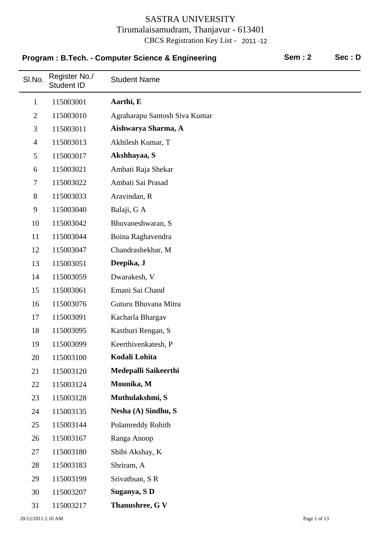|                | Program: B.Tech. - Computer Science & Engineering |                               | <b>Sem: 2</b> | Sec: D |
|----------------|---------------------------------------------------|-------------------------------|---------------|--------|
| SI.No.         | Register No./<br><b>Student ID</b>                | <b>Student Name</b>           |               |        |
| $\mathbf{1}$   | 115003001                                         | Aarthi, E                     |               |        |
| $\overline{2}$ | 115003010                                         | Agraharapu Santosh Siva Kumar |               |        |
| 3              | 115003011                                         | Aishwarya Sharma, A           |               |        |
| $\overline{4}$ | 115003013                                         | Akhilesh Kumar, T             |               |        |
| 5              | 115003017                                         | Akshhayaa, S                  |               |        |
| 6              | 115003021                                         | Ambati Raja Shekar            |               |        |
| $\tau$         | 115003022                                         | Ambati Sai Prasad             |               |        |
| 8              | 115003033                                         | Aravindan, R                  |               |        |
| 9              | 115003040                                         | Balaji, G A                   |               |        |
| 10             | 115003042                                         | Bhuvaneshwaran, S             |               |        |
| 11             | 115003044                                         | Boina Raghavendra             |               |        |
| 12             | 115003047                                         | Chandrashekhar, M             |               |        |
| 13             | 115003051                                         | Deepika, J                    |               |        |
| 14             | 115003059                                         | Dwarakesh, V                  |               |        |
| 15             | 115003061                                         | Emani Sai Chand               |               |        |
| 16             | 115003076                                         | Guturu Bhuvana Mitra          |               |        |
| 17             | 115003091                                         | Kacharla Bhargav              |               |        |
| 18             | 115003095                                         | Kasthuri Rengan, S            |               |        |
| 19             | 115003099                                         | Keerthivenkatesh, P           |               |        |
| 20             | 115003100                                         | Kodali Lohita                 |               |        |
| 21             | 115003120                                         | Medepalli Saikeerthi          |               |        |
| 22             | 115003124                                         | Mounika, M                    |               |        |
| 23             | 115003128                                         | Muthulakshmi, S               |               |        |
| 24             | 115003135                                         | Nesha (A) Sindhu, S           |               |        |
| 25             | 115003144                                         | Polamreddy Rohith             |               |        |
| 26             | 115003167                                         | Ranga Anoop                   |               |        |
| 27             | 115003180                                         | Shibi Akshay, K               |               |        |
| 28             | 115003183                                         | Shriram, A                    |               |        |
| 29             | 115003199                                         | Srivathsan, SR                |               |        |
| 30             | 115003207                                         | Suganya, SD                   |               |        |
| 31             | 115003217                                         | Thanushree, G V               |               |        |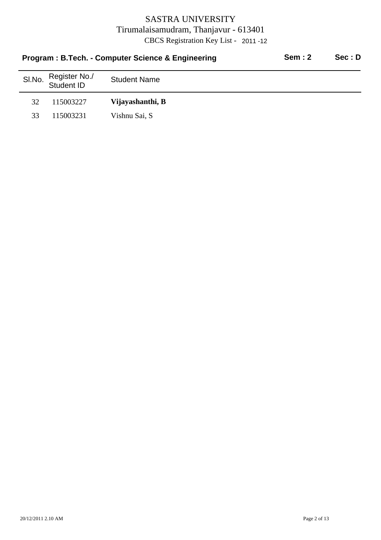|        |                             | Program: B.Tech. - Computer Science & Engineering | Sem: 2 | Sec: D |
|--------|-----------------------------|---------------------------------------------------|--------|--------|
| SI.No. | Register No./<br>Student ID | <b>Student Name</b>                               |        |        |
| 32     | 115003227                   | Vijayashanthi, B                                  |        |        |
| 33     | 115003231                   | Vishnu Sai, S                                     |        |        |
|        |                             |                                                   |        |        |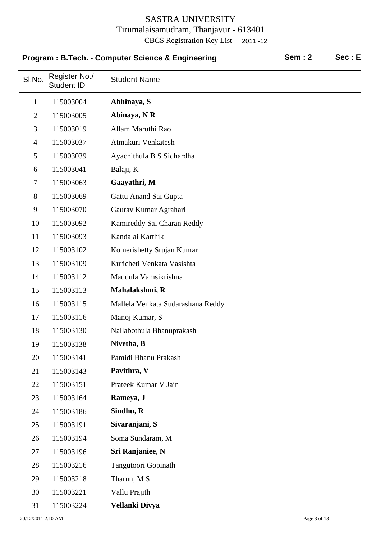|                | Program : B.Tech. - Computer Science & Engineering |                                   | <b>Sem: 2</b> | Sec: E |
|----------------|----------------------------------------------------|-----------------------------------|---------------|--------|
| SI.No.         | Register No./<br>Student ID                        | <b>Student Name</b>               |               |        |
| $\mathbf 1$    | 115003004                                          | Abhinaya, S                       |               |        |
| $\overline{2}$ | 115003005                                          | Abinaya, NR                       |               |        |
| 3              | 115003019                                          | Allam Maruthi Rao                 |               |        |
| $\overline{4}$ | 115003037                                          | Atmakuri Venkatesh                |               |        |
| 5              | 115003039                                          | Ayachithula B S Sidhardha         |               |        |
| 6              | 115003041                                          | Balaji, K                         |               |        |
| $\tau$         | 115003063                                          | Gaayathri, M                      |               |        |
| 8              | 115003069                                          | Gattu Anand Sai Gupta             |               |        |
| 9              | 115003070                                          | Gaurav Kumar Agrahari             |               |        |
| 10             | 115003092                                          | Kamireddy Sai Charan Reddy        |               |        |
| 11             | 115003093                                          | Kandalai Karthik                  |               |        |
| 12             | 115003102                                          | Komerishetty Srujan Kumar         |               |        |
| 13             | 115003109                                          | Kuricheti Venkata Vasishta        |               |        |
| 14             | 115003112                                          | Maddula Vamsikrishna              |               |        |
| 15             | 115003113                                          | Mahalakshmi, R                    |               |        |
| 16             | 115003115                                          | Mallela Venkata Sudarashana Reddy |               |        |
| 17             | 115003116                                          | Manoj Kumar, S                    |               |        |
| 18             | 115003130                                          | Nallabothula Bhanuprakash         |               |        |
| 19             | 115003138                                          | Nivetha, B                        |               |        |
| 20             | 115003141                                          | Pamidi Bhanu Prakash              |               |        |
| 21             | 115003143                                          | Pavithra, V                       |               |        |
| 22             | 115003151                                          | Prateek Kumar V Jain              |               |        |
| 23             | 115003164                                          | Rameya, J                         |               |        |
| 24             | 115003186                                          | Sindhu, R                         |               |        |
| 25             | 115003191                                          | Sivaranjani, S                    |               |        |
| 26             | 115003194                                          | Soma Sundaram, M                  |               |        |
| 27             | 115003196                                          | Sri Ranjaniee, N                  |               |        |
| 28             | 115003216                                          | Tangutoori Gopinath               |               |        |
| 29             | 115003218                                          | Tharun, M S                       |               |        |
| 30             | 115003221                                          | Vallu Prajith                     |               |        |
| 31             | 115003224                                          | Vellanki Divya                    |               |        |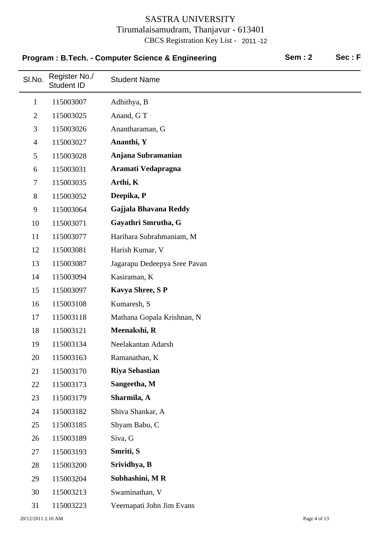|                |                                    | Program: B.Tech. - Computer Science & Engineering | <b>Sem: 2</b> | Sec: F |
|----------------|------------------------------------|---------------------------------------------------|---------------|--------|
| SI.No.         | Register No./<br><b>Student ID</b> | <b>Student Name</b>                               |               |        |
| $\mathbf{1}$   | 115003007                          | Adhithya, B                                       |               |        |
| $\overline{2}$ | 115003025                          | Anand, GT                                         |               |        |
| 3              | 115003026                          | Anantharaman, G                                   |               |        |
| $\overline{4}$ | 115003027                          | Ananthi, Y                                        |               |        |
| 5              | 115003028                          | Anjana Subramanian                                |               |        |
| 6              | 115003031                          | Aramati Vedapragna                                |               |        |
| $\tau$         | 115003035                          | Arthi, K                                          |               |        |
| 8              | 115003052                          | Deepika, P                                        |               |        |
| 9              | 115003064                          | Gajjala Bhavana Reddy                             |               |        |
| 10             | 115003071                          | Gayathri Smrutha, G                               |               |        |
| 11             | 115003077                          | Harihara Subrahmaniam, M                          |               |        |
| 12             | 115003081                          | Harish Kumar, V                                   |               |        |
| 13             | 115003087                          | Jagarapu Dedeepya Sree Pavan                      |               |        |
| 14             | 115003094                          | Kasiraman, K                                      |               |        |
| 15             | 115003097                          | <b>Kavya Shree, SP</b>                            |               |        |
| 16             | 115003108                          | Kumaresh, S                                       |               |        |
| 17             | 115003118                          | Mathana Gopala Krishnan, N                        |               |        |
| 18             | 115003121                          | Meenakshi, R                                      |               |        |
| 19             | 115003134                          | Neelakantan Adarsh                                |               |        |
| 20             | 115003163                          | Ramanathan, K                                     |               |        |
| 21             | 115003170                          | <b>Riya Sebastian</b>                             |               |        |
| 22             | 115003173                          | Sangeetha, M                                      |               |        |
| 23             | 115003179                          | Sharmila, A                                       |               |        |
| 24             | 115003182                          | Shiva Shankar, A                                  |               |        |
| 25             | 115003185                          | Shyam Babu, C                                     |               |        |
| 26             | 115003189                          | Siva, G                                           |               |        |
| 27             | 115003193                          | Smriti, S                                         |               |        |
| 28             | 115003200                          | Srividhya, B                                      |               |        |
| 29             | 115003204                          | Subhashini, MR                                    |               |        |
| 30             | 115003213                          | Swaminathan, V                                    |               |        |
| 31             | 115003223                          | Veernapati John Jim Evans                         |               |        |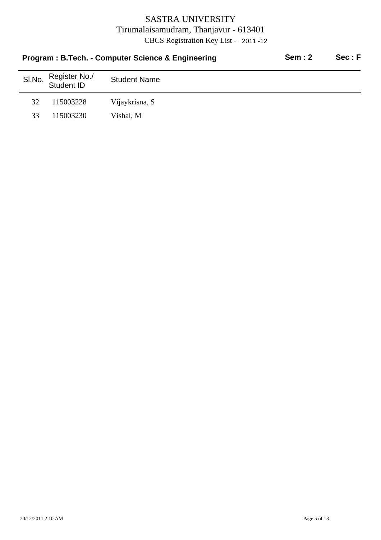|        | Program: B.Tech. - Computer Science & Engineering | <b>Sem: 2</b>       | Sec: F |  |
|--------|---------------------------------------------------|---------------------|--------|--|
| SI.No. | Register No./<br>Student ID                       | <b>Student Name</b> |        |  |
| 32     | 115003228                                         | Vijaykrisna, S      |        |  |
| 33     | 115003230                                         | Vishal, M           |        |  |
|        |                                                   |                     |        |  |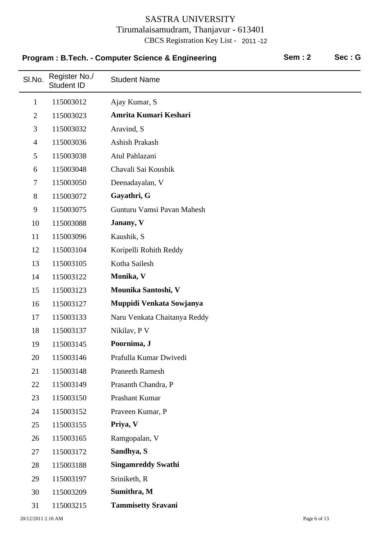|                | Program: B.Tech. - Computer Science & Engineering |                              | <b>Sem: 2</b> | Sec: G |
|----------------|---------------------------------------------------|------------------------------|---------------|--------|
| SI.No.         | Register No./<br><b>Student ID</b>                | <b>Student Name</b>          |               |        |
| $\mathbf{1}$   | 115003012                                         | Ajay Kumar, S                |               |        |
| $\overline{2}$ | 115003023                                         | Amrita Kumari Keshari        |               |        |
| 3              | 115003032                                         | Aravind, S                   |               |        |
| $\overline{4}$ | 115003036                                         | Ashish Prakash               |               |        |
| 5              | 115003038                                         | Atul Pahlazani               |               |        |
| 6              | 115003048                                         | Chavali Sai Koushik          |               |        |
| $\tau$         | 115003050                                         | Deenadayalan, V              |               |        |
| $8\,$          | 115003072                                         | Gayathri, G                  |               |        |
| 9              | 115003075                                         | Gunturu Vamsi Pavan Mahesh   |               |        |
| 10             | 115003088                                         | Janany, V                    |               |        |
| 11             | 115003096                                         | Kaushik, S                   |               |        |
| 12             | 115003104                                         | Koripelli Rohith Reddy       |               |        |
| 13             | 115003105                                         | Kotha Sailesh                |               |        |
| 14             | 115003122                                         | Monika, V                    |               |        |
| 15             | 115003123                                         | Mounika Santoshi, V          |               |        |
| 16             | 115003127                                         | Muppidi Venkata Sowjanya     |               |        |
| 17             | 115003133                                         | Naru Venkata Chaitanya Reddy |               |        |
| 18             | 115003137                                         | Nikilav, P V                 |               |        |
| 19             | 115003145                                         | Poornima, J                  |               |        |
| 20             | 115003146                                         | Prafulla Kumar Dwivedi       |               |        |
| 21             | 115003148                                         | <b>Praneeth Ramesh</b>       |               |        |
| 22             | 115003149                                         | Prasanth Chandra, P          |               |        |
| 23             | 115003150                                         | Prashant Kumar               |               |        |
| 24             | 115003152                                         | Praveen Kumar, P             |               |        |
| 25             | 115003155                                         | Priya, V                     |               |        |
| 26             | 115003165                                         | Ramgopalan, V                |               |        |
| 27             | 115003172                                         | Sandhya, S                   |               |        |
| 28             | 115003188                                         | <b>Singamreddy Swathi</b>    |               |        |
| 29             | 115003197                                         | Sriniketh, R                 |               |        |
| 30             | 115003209                                         | Sumithra, M                  |               |        |
| 31             | 115003215                                         | <b>Tammisetty Sravani</b>    |               |        |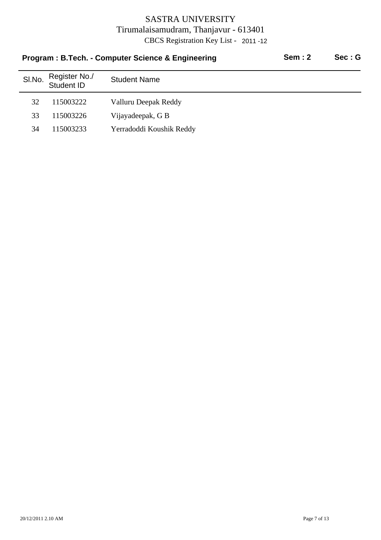|        | Program: B.Tech. - Computer Science & Engineering | Sem: 2                   | Sec:G |  |
|--------|---------------------------------------------------|--------------------------|-------|--|
| SI.No. | Register No./<br>Student ID                       | <b>Student Name</b>      |       |  |
| 32     | 115003222                                         | Valluru Deepak Reddy     |       |  |
| 33     | 115003226                                         | Vijayadeepak, G B        |       |  |
| 34     | 115003233                                         | Yerradoddi Koushik Reddy |       |  |
|        |                                                   |                          |       |  |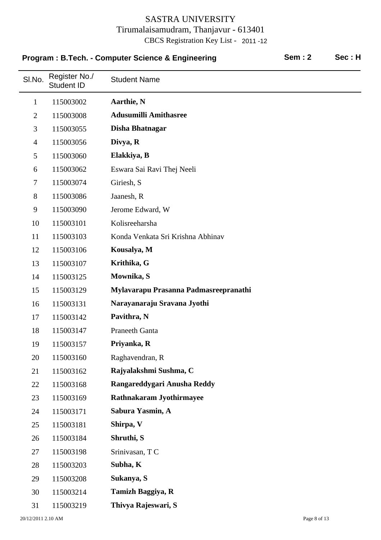|                | Program: B.Tech. - Computer Science & Engineering |                                       |  | Sec: H |
|----------------|---------------------------------------------------|---------------------------------------|--|--------|
| SI.No.         | Register No./<br><b>Student ID</b>                | <b>Student Name</b>                   |  |        |
| $\mathbf{1}$   | 115003002                                         | Aarthie, N                            |  |        |
| $\overline{2}$ | 115003008                                         | <b>Adusumilli Amithasree</b>          |  |        |
| 3              | 115003055                                         | Disha Bhatnagar                       |  |        |
| $\overline{4}$ | 115003056                                         | Divya, R                              |  |        |
| 5              | 115003060                                         | Elakkiya, B                           |  |        |
| 6              | 115003062                                         | Eswara Sai Ravi Thej Neeli            |  |        |
| $\tau$         | 115003074                                         | Giriesh, S                            |  |        |
| $8\,$          | 115003086                                         | Jaanesh, R                            |  |        |
| 9              | 115003090                                         | Jerome Edward, W                      |  |        |
| 10             | 115003101                                         | Kolisreeharsha                        |  |        |
| 11             | 115003103                                         | Konda Venkata Sri Krishna Abhinav     |  |        |
| 12             | 115003106                                         | Kousalya, M                           |  |        |
| 13             | 115003107                                         | Krithika, G                           |  |        |
| 14             | 115003125                                         | Mownika, S                            |  |        |
| 15             | 115003129                                         | Mylavarapu Prasanna Padmasreepranathi |  |        |
| 16             | 115003131                                         | Narayanaraju Sravana Jyothi           |  |        |
| 17             | 115003142                                         | Pavithra, N                           |  |        |
| 18             | 115003147                                         | <b>Praneeth Ganta</b>                 |  |        |
| 19             | 115003157                                         | Priyanka, R                           |  |        |
| 20             | 115003160                                         | Raghavendran, R                       |  |        |
| 21             | 115003162                                         | Rajyalakshmi Sushma, C                |  |        |
| 22             | 115003168                                         | Rangareddygari Anusha Reddy           |  |        |
| 23             | 115003169                                         | Rathnakaram Jyothirmayee              |  |        |
| 24             | 115003171                                         | Sabura Yasmin, A                      |  |        |
| 25             | 115003181                                         | Shirpa, V                             |  |        |
| 26             | 115003184                                         | Shruthi, S                            |  |        |
| 27             | 115003198                                         | Srinivasan, TC                        |  |        |
| 28             | 115003203                                         | Subha, K                              |  |        |
| 29             | 115003208                                         | Sukanya, S                            |  |        |
| 30             | 115003214                                         | Tamizh Baggiya, R                     |  |        |
| 31             | 115003219                                         | Thivya Rajeswari, S                   |  |        |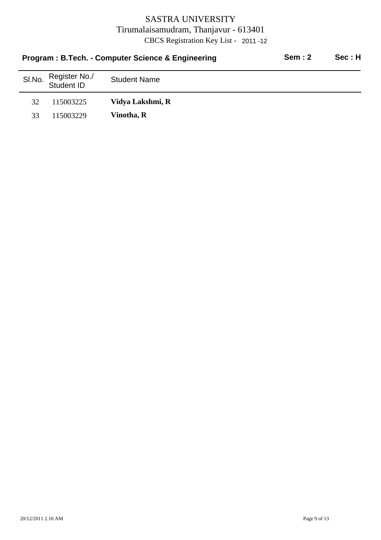|        |                             | Program: B.Tech. - Computer Science & Engineering | Sem: 2 | Sec:H |
|--------|-----------------------------|---------------------------------------------------|--------|-------|
| SI.No. | Register No./<br>Student ID | <b>Student Name</b>                               |        |       |
| 32     | 115003225                   | Vidya Lakshmi, R                                  |        |       |
| 33     | 115003229                   | Vinotha, R                                        |        |       |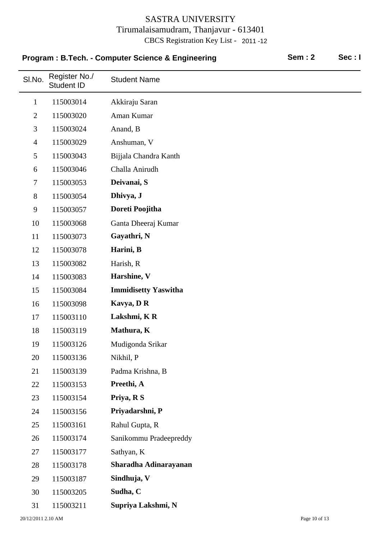|                | Program: B.Tech. - Computer Science & Engineering |                             | <b>Sem: 2</b> | Sec:I |
|----------------|---------------------------------------------------|-----------------------------|---------------|-------|
| SI.No.         | Register No./<br>Student ID                       | <b>Student Name</b>         |               |       |
| $\mathbf{1}$   | 115003014                                         | Akkiraju Saran              |               |       |
| $\overline{2}$ | 115003020                                         | Aman Kumar                  |               |       |
| 3              | 115003024                                         | Anand, B                    |               |       |
| $\overline{4}$ | 115003029                                         | Anshuman, V                 |               |       |
| 5              | 115003043                                         | Bijjala Chandra Kanth       |               |       |
| 6              | 115003046                                         | Challa Anirudh              |               |       |
| $\tau$         | 115003053                                         | Deivanai, S                 |               |       |
| 8              | 115003054                                         | Dhivya, J                   |               |       |
| 9              | 115003057                                         | Doreti Poojitha             |               |       |
| 10             | 115003068                                         | Ganta Dheeraj Kumar         |               |       |
| 11             | 115003073                                         | Gayathri, N                 |               |       |
| 12             | 115003078                                         | Harini, B                   |               |       |
| 13             | 115003082                                         | Harish, R                   |               |       |
| 14             | 115003083                                         | Harshine, V                 |               |       |
| 15             | 115003084                                         | <b>Immidisetty Yaswitha</b> |               |       |
| 16             | 115003098                                         | Kavya, DR                   |               |       |
| 17             | 115003110                                         | Lakshmi, KR                 |               |       |
| 18             | 115003119                                         | Mathura, K                  |               |       |
| 19             | 115003126                                         | Mudigonda Srikar            |               |       |
| 20             | 115003136                                         | Nikhil, P                   |               |       |
| 21             | 115003139                                         | Padma Krishna, B            |               |       |
| 22             | 115003153                                         | Preethi, A                  |               |       |
| 23             | 115003154                                         | Priya, R S                  |               |       |
| 24             | 115003156                                         | Priyadarshni, P             |               |       |
| 25             | 115003161                                         | Rahul Gupta, R              |               |       |
| 26             | 115003174                                         | Sanikommu Pradeepreddy      |               |       |
| 27             | 115003177                                         | Sathyan, K                  |               |       |
| 28             | 115003178                                         | Sharadha Adinarayanan       |               |       |
| 29             | 115003187                                         | Sindhuja, V                 |               |       |
| 30             | 115003205                                         | Sudha, C                    |               |       |
| 31             | 115003211                                         | Supriya Lakshmi, N          |               |       |

#### 20/12/2011 2.10 AM Page 10 of 13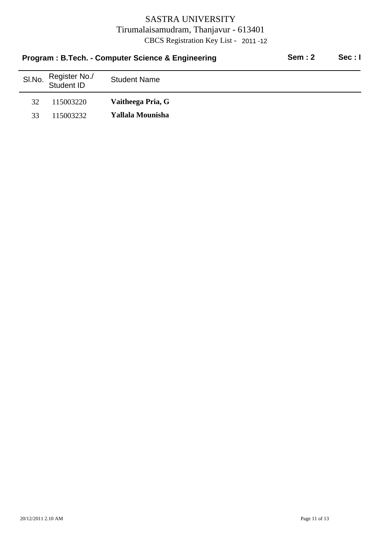|        |                             | Program: B.Tech. - Computer Science & Engineering | Sem: 2 | Sec: I |
|--------|-----------------------------|---------------------------------------------------|--------|--------|
| SI.No. | Register No./<br>Student ID | <b>Student Name</b>                               |        |        |
| 32     | 115003220                   | Vaitheega Pria, G                                 |        |        |
| 33     | 115003232                   | Yallala Mounisha                                  |        |        |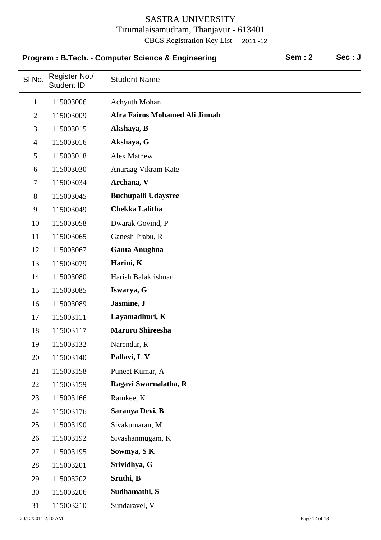|                | Program: B.Tech. - Computer Science & Engineering | <b>Sem: 2</b><br>Sec: J        |  |  |
|----------------|---------------------------------------------------|--------------------------------|--|--|
| SI.No.         | Register No./<br><b>Student ID</b>                | <b>Student Name</b>            |  |  |
| $\mathbf{1}$   | 115003006                                         | Achyuth Mohan                  |  |  |
| $\overline{2}$ | 115003009                                         | Afra Fairos Mohamed Ali Jinnah |  |  |
| 3              | 115003015                                         | Akshaya, B                     |  |  |
| $\overline{4}$ | 115003016                                         | Akshaya, G                     |  |  |
| 5              | 115003018                                         | <b>Alex Mathew</b>             |  |  |
| 6              | 115003030                                         | Anuraag Vikram Kate            |  |  |
| $\overline{7}$ | 115003034                                         | Archana, V                     |  |  |
| 8              | 115003045                                         | <b>Buchupalli Udaysree</b>     |  |  |
| 9              | 115003049                                         | <b>Chekka Lalitha</b>          |  |  |
| 10             | 115003058                                         | Dwarak Govind, P               |  |  |
| 11             | 115003065                                         | Ganesh Prabu, R                |  |  |
| 12             | 115003067                                         | <b>Ganta Anughna</b>           |  |  |
| 13             | 115003079                                         | Harini, K                      |  |  |
| 14             | 115003080                                         | Harish Balakrishnan            |  |  |
| 15             | 115003085                                         | Iswarya, G                     |  |  |
| 16             | 115003089                                         | Jasmine, J                     |  |  |
| 17             | 115003111                                         | Layamadhuri, K                 |  |  |
| 18             | 115003117                                         | <b>Maruru Shireesha</b>        |  |  |
| 19             | 115003132                                         | Narendar, R                    |  |  |
| 20             | 115003140                                         | Pallavi, L V                   |  |  |
| 21             | 115003158                                         | Puneet Kumar, A                |  |  |
| 22             | 115003159                                         | Ragavi Swarnalatha, R          |  |  |
| 23             | 115003166                                         | Ramkee, K                      |  |  |
| 24             | 115003176                                         | Saranya Devi, B                |  |  |
| 25             | 115003190                                         | Sivakumaran, M                 |  |  |
| 26             | 115003192                                         | Sivashanmugam, K               |  |  |
| 27             | 115003195                                         | Sowmya, SK                     |  |  |
| 28             | 115003201                                         | Srividhya, G                   |  |  |
| 29             | 115003202                                         | Sruthi, B                      |  |  |
| 30             | 115003206                                         | Sudhamathi, S                  |  |  |
| 31             | 115003210                                         | Sundaravel, V                  |  |  |